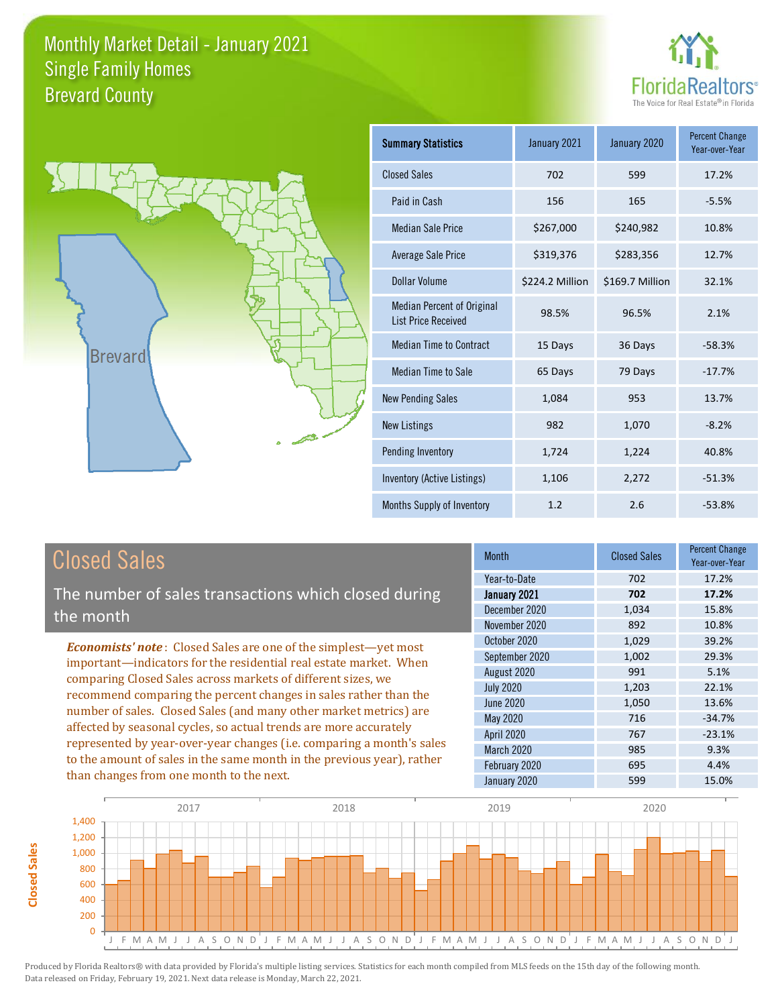



| <b>Summary Statistics</b>                                       | January 2021    | January 2020    | <b>Percent Change</b><br>Year-over-Year |
|-----------------------------------------------------------------|-----------------|-----------------|-----------------------------------------|
| <b>Closed Sales</b>                                             | 702             | 599             | 17.2%                                   |
| Paid in Cash                                                    | 156             | 165             | $-5.5%$                                 |
| <b>Median Sale Price</b>                                        | \$267,000       | \$240,982       | 10.8%                                   |
| Average Sale Price                                              | \$319,376       | \$283,356       | 12.7%                                   |
| Dollar Volume                                                   | \$224.2 Million | \$169.7 Million | 32.1%                                   |
| <b>Median Percent of Original</b><br><b>List Price Received</b> | 98.5%           | 96.5%           | 2.1%                                    |
| <b>Median Time to Contract</b>                                  | 15 Days         | 36 Days         | $-58.3%$                                |
| <b>Median Time to Sale</b>                                      | 65 Days         | 79 Days         | $-17.7%$                                |
| <b>New Pending Sales</b>                                        | 1,084           | 953             | 13.7%                                   |
| <b>New Listings</b>                                             | 982             | 1,070           | $-8.2%$                                 |
| Pending Inventory                                               | 1,724           | 1,224           | 40.8%                                   |
| Inventory (Active Listings)                                     | 1,106           | 2,272           | $-51.3%$                                |
| Months Supply of Inventory                                      | 1.2             | 2.6             | $-53.8%$                                |

## Closed Sales

The number of sales transactions which closed during the month

*Economists' note* : Closed Sales are one of the simplest—yet most important—indicators for the residential real estate market. When comparing Closed Sales across markets of different sizes, we recommend comparing the percent changes in sales rather than the number of sales. Closed Sales (and many other market metrics) are affected by seasonal cycles, so actual trends are more accurately represented by year-over-year changes (i.e. comparing a month's sales to the amount of sales in the same month in the previous year), rather than changes from one month to the next.

| <b>Month</b>     | <b>Closed Sales</b> | <b>Percent Change</b><br>Year-over-Year |
|------------------|---------------------|-----------------------------------------|
| Year-to-Date     | 702                 | 17.2%                                   |
| January 2021     | 702                 | 17.2%                                   |
| December 2020    | 1,034               | 15.8%                                   |
| November 2020    | 892                 | 10.8%                                   |
| October 2020     | 1,029               | 39.2%                                   |
| September 2020   | 1,002               | 29.3%                                   |
| August 2020      | 991                 | 5.1%                                    |
| <b>July 2020</b> | 1,203               | 22.1%                                   |
| <b>June 2020</b> | 1,050               | 13.6%                                   |
| May 2020         | 716                 | $-34.7%$                                |
| April 2020       | 767                 | $-23.1%$                                |
| March 2020       | 985                 | 9.3%                                    |
| February 2020    | 695                 | 4.4%                                    |
| January 2020     | 599                 | 15.0%                                   |

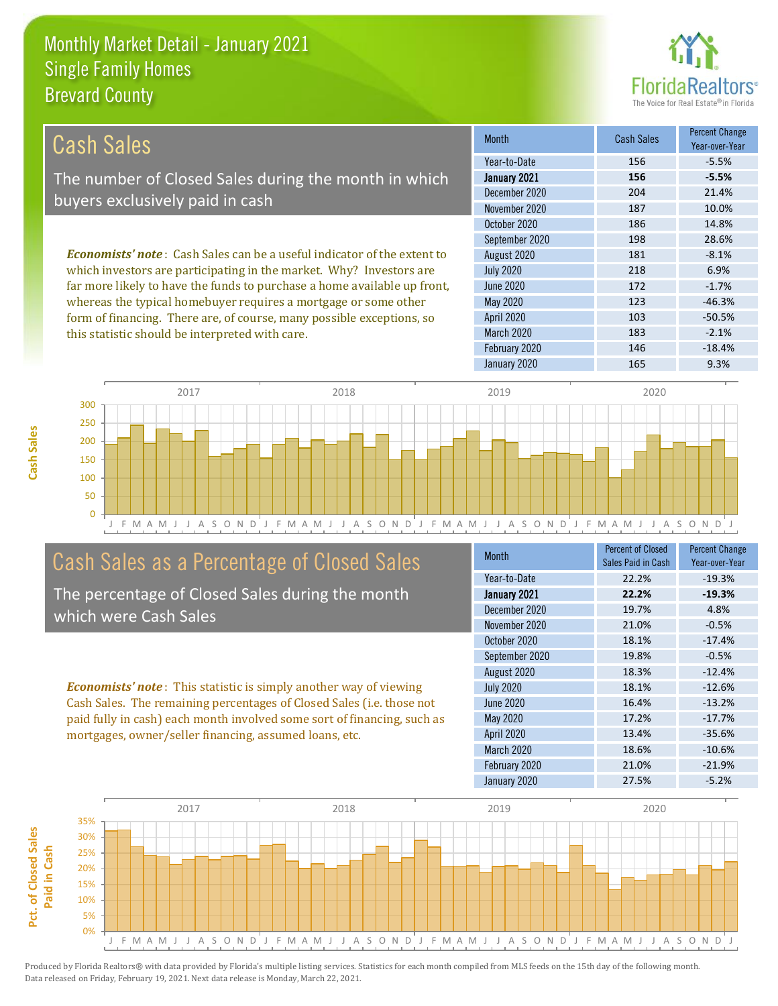this statistic should be interpreted with care.



183 -2.1%

| <b>Cash Sales</b>                                                              | <b>Month</b>      | <b>Cash Sales</b> | <b>Percent Change</b><br>Year-over-Year |
|--------------------------------------------------------------------------------|-------------------|-------------------|-----------------------------------------|
|                                                                                | Year-to-Date      | 156               | $-5.5%$                                 |
| The number of Closed Sales during the month in which                           | January 2021      | 156               | $-5.5%$                                 |
| buyers exclusively paid in cash                                                | December 2020     | 204               | 21.4%                                   |
|                                                                                | November 2020     | 187               | 10.0%                                   |
|                                                                                | October 2020      | 186               | 14.8%                                   |
|                                                                                | September 2020    | 198               | 28.6%                                   |
| <b>Economists' note:</b> Cash Sales can be a useful indicator of the extent to | August 2020       | 181               | $-8.1%$                                 |
| which investors are participating in the market. Why? Investors are            | <b>July 2020</b>  | 218               | 6.9%                                    |
| far more likely to have the funds to purchase a home available up front,       | June 2020         | 172               | $-1.7\%$                                |
| whereas the typical homebuyer requires a mortgage or some other                | May 2020          | 123               | $-46.3%$                                |
| form of financing. There are, of course, many possible exceptions, so          | <b>April 2020</b> | 103               | $-50.5%$                                |



## Cash Sales as a Percentage of Closed Sales

The percentage of Closed Sales during the month which were Cash Sales

*Economists' note* : This statistic is simply another way of viewing Cash Sales. The remaining percentages of Closed Sales (i.e. those not paid fully in cash) each month involved some sort of financing, such as mortgages, owner/seller financing, assumed loans, etc.

| Month            | <b>Percent of Closed</b><br>Sales Paid in Cash | <b>Percent Change</b><br>Year-over-Year |
|------------------|------------------------------------------------|-----------------------------------------|
| Year-to-Date     | 22.2%                                          | $-19.3%$                                |
| January 2021     | 22.2%                                          | $-19.3%$                                |
| December 2020    | 19.7%                                          | 4.8%                                    |
| November 2020    | 21.0%                                          | $-0.5%$                                 |
| October 2020     | 18.1%                                          | $-17.4%$                                |
| September 2020   | 19.8%                                          | $-0.5%$                                 |
| August 2020      | 18.3%                                          | $-12.4%$                                |
| <b>July 2020</b> | 18.1%                                          | $-12.6%$                                |
| <b>June 2020</b> | 16.4%                                          | $-13.2%$                                |
| <b>May 2020</b>  | 17.2%                                          | $-17.7%$                                |
| April 2020       | 13.4%                                          | $-35.6%$                                |
| March 2020       | 18.6%                                          | $-10.6%$                                |
| February 2020    | 21.0%                                          | $-21.9%$                                |
| January 2020     | 27.5%                                          | $-5.2%$                                 |

January 2020 165 9.3%

February 2020 146 146 -18.4%

March 2020



**Cash Sales**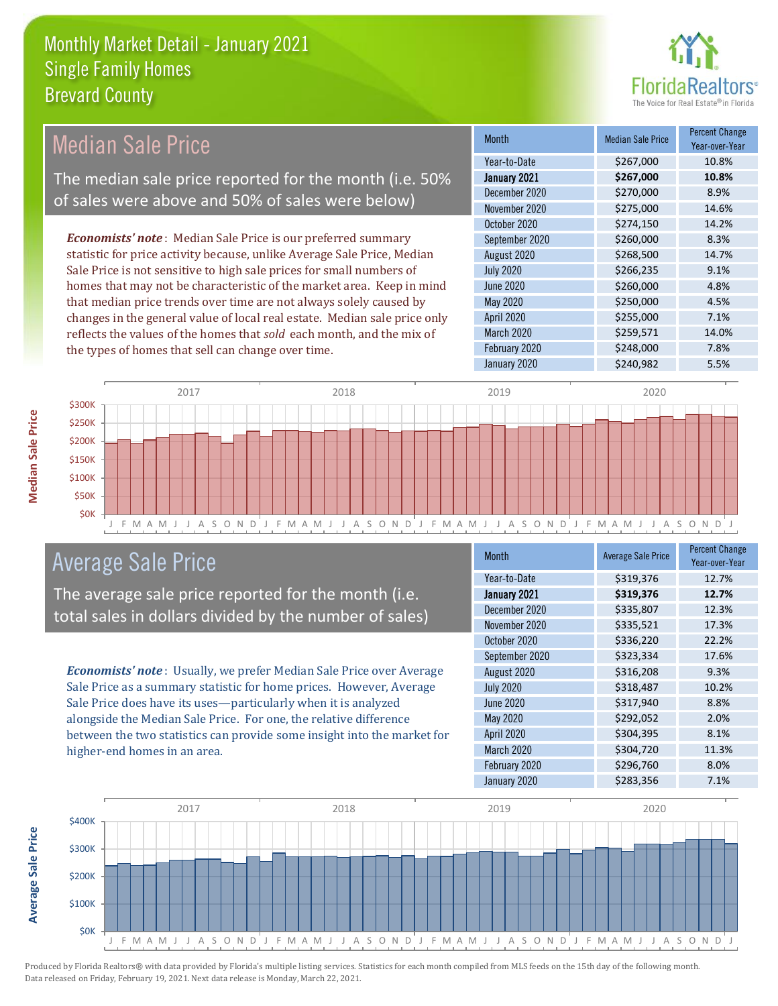

#### Month Median Sale Price Percent Change Year-over-Year January 2021 **\$267,000 10.8%** Year-to-Date \$267,000 10.8% June 2020 \$260,000 \$260,000 4.8% December 2020 \$270,000 \$2.9% November 2020 \$275,000 14.6% August 2020 \$268,500 14.7% July 2020 \$266,235 9.1% October 2020 \$274,150 14.2% September 2020 \$260,000 8.3% May 2020 6250,000 4.5% April 2020 \$255,000 7.1% March 2020 \$259,571 14.0% February 2020 \$248,000 7.8% January 2020 \$240,982 5.5% *Economists' note* : Median Sale Price is our preferred summary statistic for price activity because, unlike Average Sale Price, Median Sale Price is not sensitive to high sale prices for small numbers of homes that may not be characteristic of the market area. Keep in mind that median price trends over time are not always solely caused by changes in the general value of local real estate. Median sale price only reflects the values of the homes that *sold* each month, and the mix of the types of homes that sell can change over time. Median Sale Price The median sale price reported for the month (i.e. 50% of sales were above and 50% of sales were below)



## Average Sale Price

The average sale price reported for the month (i.e. total sales in dollars divided by the number of sales)

*Economists' note* : Usually, we prefer Median Sale Price over Average Sale Price as a summary statistic for home prices. However, Average Sale Price does have its uses—particularly when it is analyzed alongside the Median Sale Price. For one, the relative difference between the two statistics can provide some insight into the market for higher-end homes in an area.

| Month            | <b>Average Sale Price</b> | <b>Percent Change</b><br>Year-over-Year |
|------------------|---------------------------|-----------------------------------------|
| Year-to-Date     | \$319,376                 | 12.7%                                   |
| January 2021     | \$319,376                 | 12.7%                                   |
| December 2020    | \$335,807                 | 12.3%                                   |
| November 2020    | \$335,521                 | 17.3%                                   |
| October 2020     | \$336,220                 | 22.2%                                   |
| September 2020   | \$323,334                 | 17.6%                                   |
| August 2020      | \$316,208                 | 9.3%                                    |
| <b>July 2020</b> | \$318,487                 | 10.2%                                   |
| <b>June 2020</b> | \$317,940                 | 8.8%                                    |
| <b>May 2020</b>  | \$292,052                 | 2.0%                                    |
| April 2020       | \$304,395                 | 8.1%                                    |
| March 2020       | \$304,720                 | 11.3%                                   |
| February 2020    | \$296,760                 | 8.0%                                    |
| January 2020     | \$283,356                 | 7.1%                                    |



**Average Sale Price**

**Average Sale Price**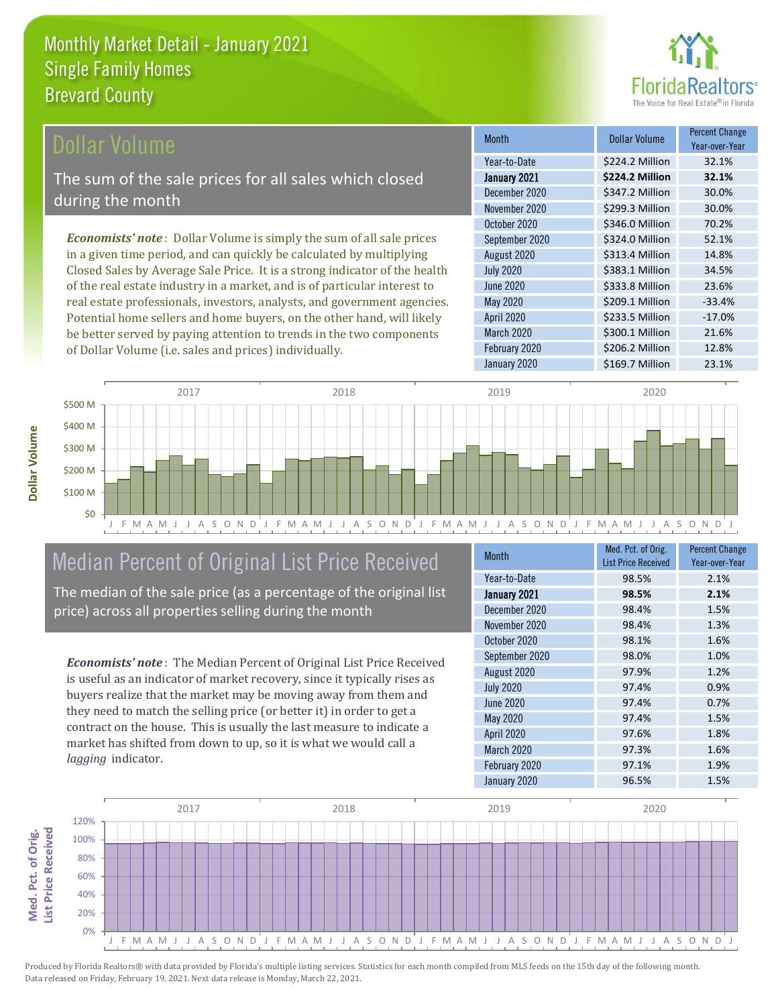

### **Ollar Volume**

The sum of the sale prices for all sales which closed during the month

*Economists' note* : Dollar Volume is simply the sum of all sale prices in a given time period, and can quickly be calculated by multiplying Closed Sales by Average Sale Price. It is a strong indicator of the health of the real estate industry in a market, and is of particular interest to real estate professionals, investors, analysts, and government agencies. Potential home sellers and home buyers, on the other hand, will likely be better served by paying attention to trends in the two components of Dollar Volume (i.e. sales and prices) individually.

| <b>Month</b>     | <b>Dollar Volume</b> | <b>Percent Change</b><br>Year-over-Year |
|------------------|----------------------|-----------------------------------------|
| Year-to-Date     | \$224.2 Million      | 32.1%                                   |
| January 2021     | \$224.2 Million      | 32.1%                                   |
| December 2020    | \$347.2 Million      | 30.0%                                   |
| November 2020    | \$299.3 Million      | 30.0%                                   |
| October 2020     | \$346.0 Million      | 70.2%                                   |
| September 2020   | \$324.0 Million      | 52.1%                                   |
| August 2020      | \$313.4 Million      | 14.8%                                   |
| <b>July 2020</b> | \$383.1 Million      | 34.5%                                   |
| June 2020        | \$333.8 Million      | 23.6%                                   |
| <b>May 2020</b>  | \$209.1 Million      | $-33.4%$                                |
| April 2020       | \$233.5 Million      | $-17.0%$                                |
| March 2020       | \$300.1 Million      | 21.6%                                   |
| February 2020    | \$206.2 Million      | 12.8%                                   |
| January 2020     | \$169.7 Million      | 23.1%                                   |



## Median Percent of Original List Price Received

The median of the sale price (as a percentage of the original list price) across all properties selling during the month

*Economists' note* : The Median Percent of Original List Price Received is useful as an indicator of market recovery, since it typically rises as buyers realize that the market may be moving away from them and they need to match the selling price (or better it) in order to get a contract on the house. This is usually the last measure to indicate a market has shifted from down to up, so it is what we would call a *lagging* indicator.

| <b>Month</b>     | Med. Pct. of Orig.<br><b>List Price Received</b> | <b>Percent Change</b><br>Year-over-Year |
|------------------|--------------------------------------------------|-----------------------------------------|
| Year-to-Date     | 98.5%                                            | 2.1%                                    |
| January 2021     | 98.5%                                            | 2.1%                                    |
| December 2020    | 98.4%                                            | 1.5%                                    |
| November 2020    | 98.4%                                            | 1.3%                                    |
| October 2020     | 98.1%                                            | 1.6%                                    |
| September 2020   | 98.0%                                            | 1.0%                                    |
| August 2020      | 97.9%                                            | 1.2%                                    |
| <b>July 2020</b> | 97.4%                                            | 0.9%                                    |
| <b>June 2020</b> | 97.4%                                            | 0.7%                                    |
| May 2020         | 97.4%                                            | 1.5%                                    |
| April 2020       | 97.6%                                            | 1.8%                                    |
| March 2020       | 97.3%                                            | 1.6%                                    |
| February 2020    | 97.1%                                            | 1.9%                                    |
| January 2020     | 96.5%                                            | 1.5%                                    |



Med. Pct. of Orig.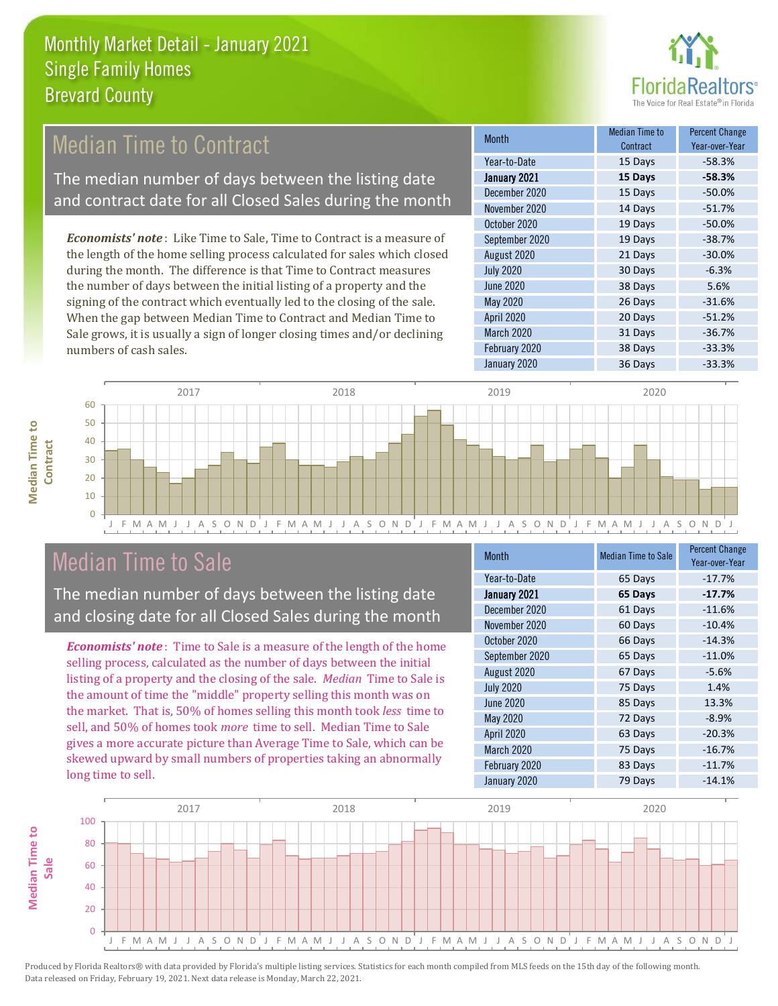

## Median Time to Contract

The median number of days between the listing date and contract date for all Closed Sales during the month

*Economists' note* : Like Time to Sale, Time to Contract is a measure of the length of the home selling process calculated for sales which closed during the month. The difference is that Time to Contract measures the number of days between the initial listing of a property and the signing of the contract which eventually led to the closing of the sale. When the gap between Median Time to Contract and Median Time to Sale grows, it is usually a sign of longer closing times and/or declining numbers of cash sales.

| <b>Month</b>     | Median Time to<br>Contract | <b>Percent Change</b><br>Year-over-Year |
|------------------|----------------------------|-----------------------------------------|
| Year-to-Date     | 15 Days                    | $-58.3%$                                |
| January 2021     | 15 Days                    | $-58.3%$                                |
| December 2020    | 15 Days                    | $-50.0%$                                |
| November 2020    | 14 Days                    | $-51.7%$                                |
| October 2020     | 19 Days                    | $-50.0%$                                |
| September 2020   | 19 Days                    | $-38.7%$                                |
| August 2020      | 21 Days                    | $-30.0%$                                |
| <b>July 2020</b> | 30 Days                    | $-6.3%$                                 |
| <b>June 2020</b> | 38 Days                    | 5.6%                                    |
| <b>May 2020</b>  | 26 Days                    | $-31.6%$                                |
| April 2020       | 20 Days                    | $-51.2%$                                |
| March 2020       | 31 Days                    | $-36.7%$                                |
| February 2020    | 38 Days                    | $-33.3%$                                |
| January 2020     | 36 Days                    | $-33.3%$                                |



 $\Omega$ 



## Median Time to Sale

The median number of days between the listing date and closing date for all Closed Sales during the month

*Economists' note* : Time to Sale is a measure of the length of the home selling process, calculated as the number of days between the initial listing of a property and the closing of the sale. *Median* Time to Sale is the amount of time the "middle" property selling this month was on the market. That is, 50% of homes selling this month took *less* time to sell, and 50% of homes took *more* time to sell. Median Time to Sale gives a more accurate picture than Average Time to Sale, which can be skewed upward by small numbers of properties taking an abnormally long time to sell.

| <b>Month</b>     | <b>Median Time to Sale</b> | <b>Percent Change</b><br>Year-over-Year |
|------------------|----------------------------|-----------------------------------------|
| Year-to-Date     | 65 Days                    | $-17.7%$                                |
| January 2021     | 65 Days                    | $-17.7%$                                |
| December 2020    | 61 Days                    | $-11.6%$                                |
| November 2020    | 60 Days                    | $-10.4%$                                |
| October 2020     | 66 Days                    | $-14.3%$                                |
| September 2020   | 65 Days                    | $-11.0%$                                |
| August 2020      | 67 Days                    | $-5.6%$                                 |
| <b>July 2020</b> | 75 Days                    | 1.4%                                    |
| <b>June 2020</b> | 85 Days                    | 13.3%                                   |
| May 2020         | 72 Days                    | $-8.9%$                                 |
| April 2020       | 63 Days                    | $-20.3%$                                |
| March 2020       | 75 Days                    | $-16.7%$                                |
| February 2020    | 83 Days                    | $-11.7%$                                |
| January 2020     | 79 Days                    | $-14.1%$                                |

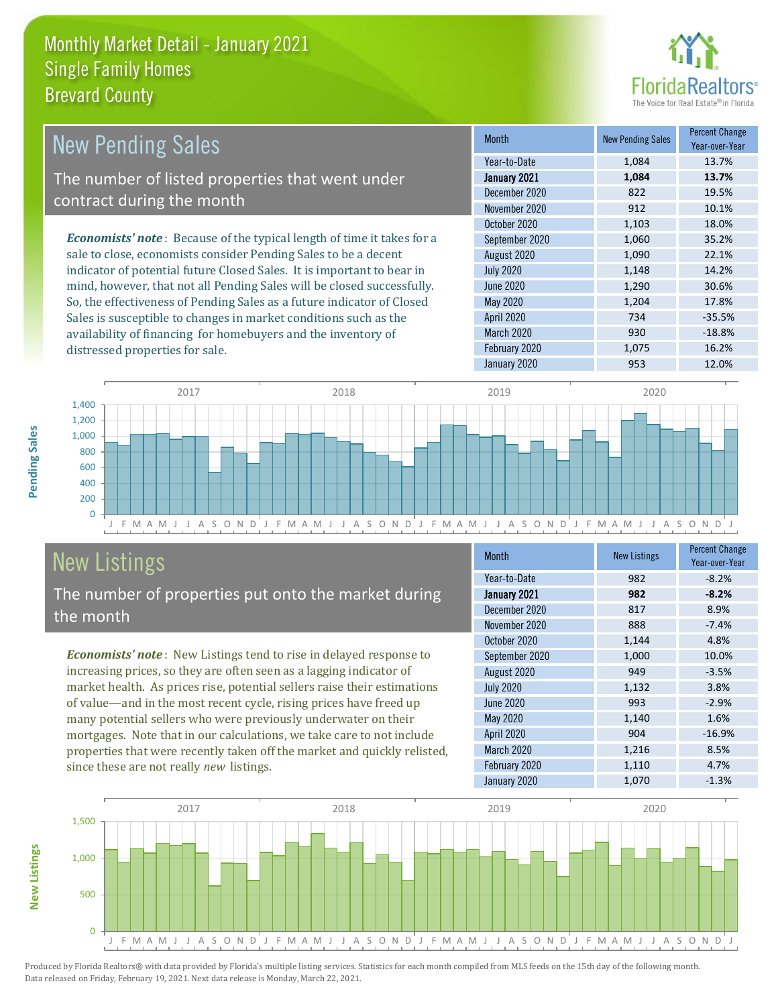

| <b>New Pending Sales</b>                                                       | <b>Month</b>      | <b>New Pending Sales</b> | <b>Percent Change</b><br>Year-over-Year |
|--------------------------------------------------------------------------------|-------------------|--------------------------|-----------------------------------------|
|                                                                                | Year-to-Date      | 1.084                    | 13.7%                                   |
| The number of listed properties that went under                                | January 2021      | 1,084                    | 13.7%                                   |
| contract during the month                                                      | December 2020     | 822                      | 19.5%                                   |
|                                                                                | November 2020     | 912                      | 10.1%                                   |
|                                                                                | October 2020      | 1,103                    | 18.0%                                   |
| <b>Economists' note</b> : Because of the typical length of time it takes for a | September 2020    | 1,060                    | 35.2%                                   |
| sale to close, economists consider Pending Sales to be a decent                | August 2020       | 1,090                    | 22.1%                                   |
| indicator of potential future Closed Sales. It is important to bear in         | <b>July 2020</b>  | 1,148                    | 14.2%                                   |
| mind, however, that not all Pending Sales will be closed successfully.         | June 2020         | 1,290                    | 30.6%                                   |
| So, the effectiveness of Pending Sales as a future indicator of Closed         | May 2020          | 1.204                    | 17.8%                                   |
| Sales is susceptible to changes in market conditions such as the               | <b>April 2020</b> | 734                      | $-35.5%$                                |

J F M A M J J A S O N D J F M A M J J A S O N D J F M A M J J A S O N D J F M A M J J A S O N D J  $\overline{0}$ 200 400 600 800 1,000 1,200 1,400 2017 2018 2019 2020

# New Listings

distressed properties for sale.

The number of properties put onto the market during the month

availability of financing for homebuyers and the inventory of

*Economists' note* : New Listings tend to rise in delayed response to increasing prices, so they are often seen as a lagging indicator of market health. As prices rise, potential sellers raise their estimations of value—and in the most recent cycle, rising prices have freed up many potential sellers who were previously underwater on their mortgages. Note that in our calculations, we take care to not include properties that were recently taken off the market and quickly relisted, since these are not really *new* listings.

| <b>Month</b>     | <b>New Listings</b> | <b>Percent Change</b><br>Year-over-Year |
|------------------|---------------------|-----------------------------------------|
| Year-to-Date     | 982                 | $-8.2%$                                 |
| January 2021     | 982                 | $-8.2%$                                 |
| December 2020    | 817                 | 8.9%                                    |
| November 2020    | 888                 | $-7.4%$                                 |
| October 2020     | 1,144               | 4.8%                                    |
| September 2020   | 1,000               | 10.0%                                   |
| August 2020      | 949                 | $-3.5%$                                 |
| <b>July 2020</b> | 1,132               | 3.8%                                    |
| <b>June 2020</b> | 993                 | $-2.9%$                                 |
| <b>May 2020</b>  | 1,140               | 1.6%                                    |
| April 2020       | 904                 | $-16.9%$                                |
| March 2020       | 1,216               | 8.5%                                    |
| February 2020    | 1,110               | 4.7%                                    |
| January 2020     | 1,070               | $-1.3%$                                 |

March 2020 930 -18.8% February 2020 1,075 16.2% January 2020 953 12.0%



**New Listings**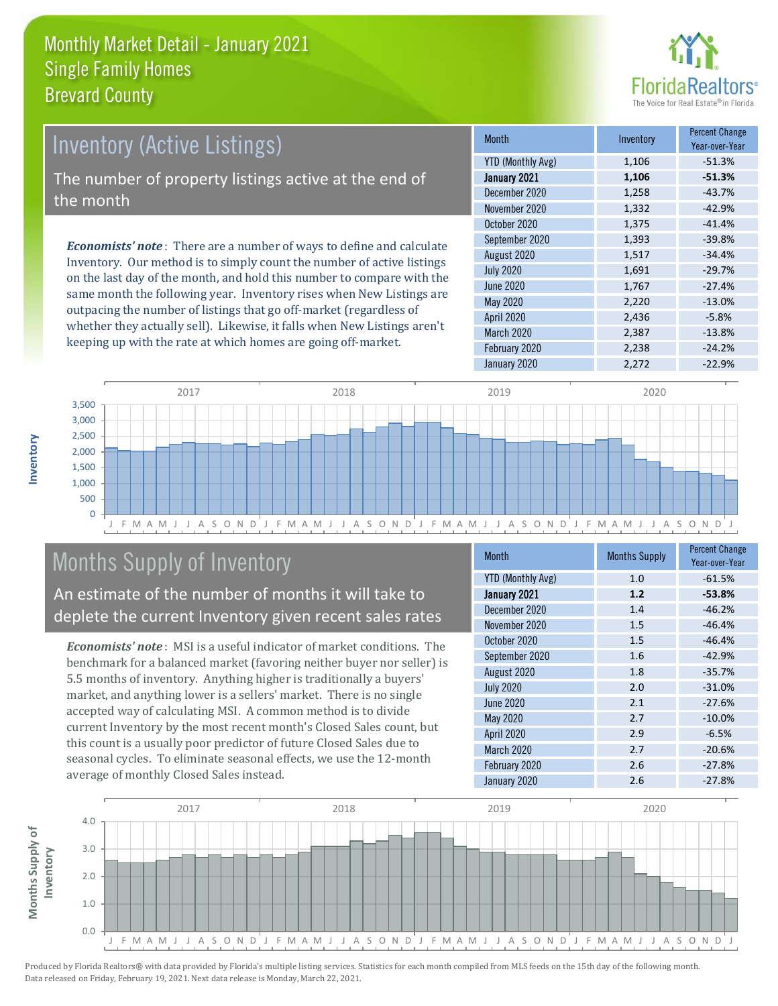

## Inventory (Active Listings) The number of property listings active at the end of the month

*Economists' note* : There are a number of ways to define and calculate Inventory. Our method is to simply count the number of active listings on the last day of the month, and hold this number to compare with the same month the following year. Inventory rises when New Listings are outpacing the number of listings that go off-market (regardless of whether they actually sell). Likewise, it falls when New Listings aren't keeping up with the rate at which homes are going off-market.

| <b>Month</b>             | Inventory | <b>Percent Change</b><br>Year-over-Year |
|--------------------------|-----------|-----------------------------------------|
| <b>YTD (Monthly Avg)</b> | 1,106     | $-51.3%$                                |
| January 2021             | 1,106     | $-51.3%$                                |
| December 2020            | 1,258     | $-43.7%$                                |
| November 2020            | 1,332     | $-42.9%$                                |
| October 2020             | 1,375     | $-41.4%$                                |
| September 2020           | 1,393     | $-39.8%$                                |
| August 2020              | 1,517     | $-34.4%$                                |
| <b>July 2020</b>         | 1,691     | $-29.7%$                                |
| <b>June 2020</b>         | 1,767     | $-27.4%$                                |
| <b>May 2020</b>          | 2,220     | $-13.0%$                                |
| April 2020               | 2,436     | $-5.8%$                                 |
| March 2020               | 2,387     | $-13.8%$                                |
| February 2020            | 2,238     | $-24.2%$                                |
| January 2020             | 2,272     | $-22.9%$                                |



## Months Supply of Inventory

An estimate of the number of months it will take to deplete the current Inventory given recent sales rates

*Economists' note* : MSI is a useful indicator of market conditions. The benchmark for a balanced market (favoring neither buyer nor seller) is 5.5 months of inventory. Anything higher is traditionally a buyers' market, and anything lower is a sellers' market. There is no single accepted way of calculating MSI. A common method is to divide current Inventory by the most recent month's Closed Sales count, but this count is a usually poor predictor of future Closed Sales due to seasonal cycles. To eliminate seasonal effects, we use the 12-month average of monthly Closed Sales instead.

| Month                    | <b>Months Supply</b> | <b>Percent Change</b><br>Year-over-Year |
|--------------------------|----------------------|-----------------------------------------|
| <b>YTD (Monthly Avg)</b> | 1.0                  | $-61.5%$                                |
| January 2021             | 1.2                  | $-53.8%$                                |
| December 2020            | 1.4                  | $-46.2%$                                |
| November 2020            | 1.5                  | $-46.4%$                                |
| October 2020             | 1.5                  | $-46.4%$                                |
| September 2020           | 1.6                  | $-42.9%$                                |
| August 2020              | 1.8                  | $-35.7%$                                |
| <b>July 2020</b>         | 2.0                  | $-31.0%$                                |
| June 2020                | 2.1                  | $-27.6%$                                |
| May 2020                 | 2.7                  | $-10.0%$                                |
| <b>April 2020</b>        | 2.9                  | $-6.5%$                                 |
| March 2020               | 2.7                  | $-20.6%$                                |
| February 2020            | 2.6                  | $-27.8%$                                |
| January 2020             | 2.6                  | $-27.8%$                                |

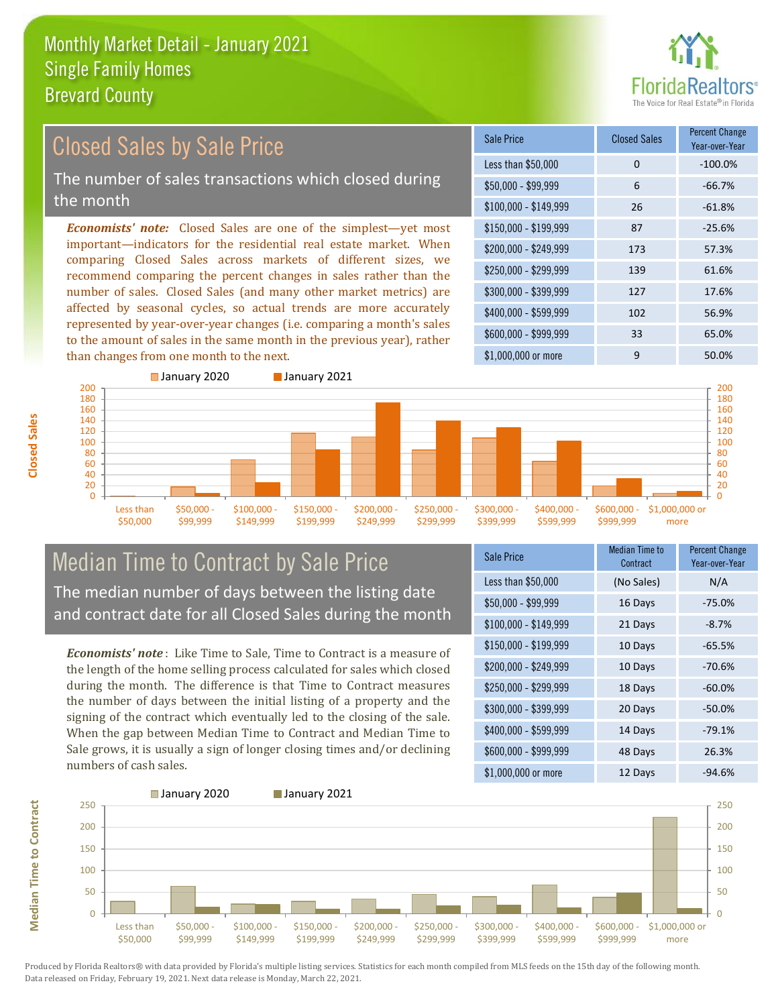than changes from one month to the next.



#### *Economists' note:* Closed Sales are one of the simplest—yet most important—indicators for the residential real estate market. When comparing Closed Sales across markets of different sizes, we recommend comparing the percent changes in sales rather than the number of sales. Closed Sales (and many other market metrics) are affected by seasonal cycles, so actual trends are more accurately represented by year-over-year changes (i.e. comparing a month's sales to the amount of sales in the same month in the previous year), rather \$250,000 - \$299,999 139 61.6% \$300,000 - \$399,999 127 17.6% \$400,000 - \$599,999 102 56.9% \$600,000 - \$999,999 33 65.0% \$150,000 - \$199,999 87 -25.6% \$200,000 - \$249,999 173 57.3%  $$100,000 - $149,999$  26 -61.8% Sale Price Closed Sales Percent Change Year-over-Year Less than \$50,000 0 0 -100.0%  $$50.000 - $99.999$  6 -66.7% Closed Sales by Sale Price The number of sales transactions which closed during the month



### Median Time to Contract by Sale Price The median number of days between the listing date and contract date for all Closed Sales during the month

*Economists' note* : Like Time to Sale, Time to Contract is a measure of the length of the home selling process calculated for sales which closed during the month. The difference is that Time to Contract measures the number of days between the initial listing of a property and the signing of the contract which eventually led to the closing of the sale. When the gap between Median Time to Contract and Median Time to Sale grows, it is usually a sign of longer closing times and/or declining numbers of cash sales.

| <b>Sale Price</b>     | <b>Median Time to</b><br>Contract | <b>Percent Change</b><br>Year-over-Year |
|-----------------------|-----------------------------------|-----------------------------------------|
| Less than \$50,000    | (No Sales)                        | N/A                                     |
| $$50,000 - $99,999$   | 16 Days                           | $-75.0%$                                |
| $$100,000 - $149,999$ | 21 Days                           | $-8.7%$                                 |
| \$150,000 - \$199,999 | 10 Days                           | $-65.5%$                                |
| \$200,000 - \$249,999 | 10 Days                           | $-70.6%$                                |
| \$250,000 - \$299,999 | 18 Days                           | $-60.0%$                                |
| \$300,000 - \$399,999 | 20 Days                           | $-50.0%$                                |
| \$400,000 - \$599,999 | 14 Days                           | $-79.1%$                                |
| \$600,000 - \$999,999 | 48 Days                           | 26.3%                                   |
| \$1,000,000 or more   | 12 Days                           | $-94.6%$                                |

\$1,000,000 or more 9 50,0%



**Closed Sales**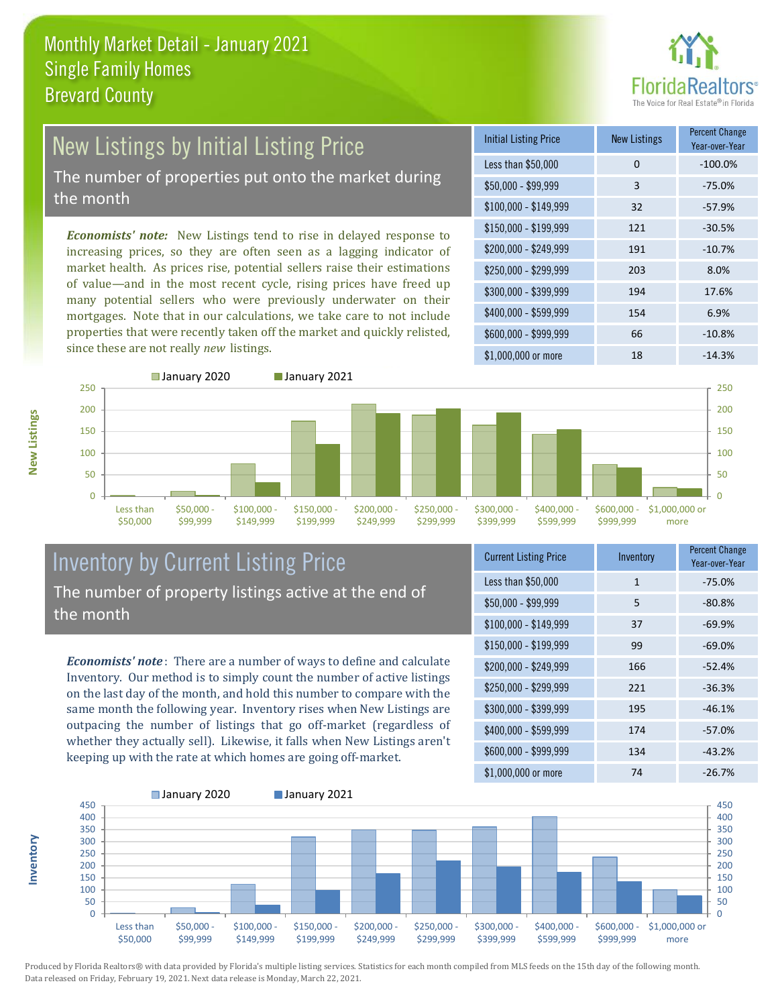

# New Listings by Initial Listing Price

The number of properties put onto the market during the month

*Economists' note:* New Listings tend to rise in delayed response to increasing prices, so they are often seen as a lagging indicator of market health. As prices rise, potential sellers raise their estimations of value—and in the most recent cycle, rising prices have freed up many potential sellers who were previously underwater on their mortgages. Note that in our calculations, we take care to not include properties that were recently taken off the market and quickly relisted, since these are not really *new* listings.





**Inventory**



#### Inventory by Current Listing Price The number of property listings active at the end of the month

*Economists' note* : There are a number of ways to define and calculate Inventory. Our method is to simply count the number of active listings on the last day of the month, and hold this number to compare with the same month the following year. Inventory rises when New Listings are outpacing the number of listings that go off-market (regardless of whether they actually sell). Likewise, it falls when New Listings aren't keeping up with the rate at which homes are going off-market.

| <b>Current Listing Price</b> | Inventory    | <b>Percent Change</b><br>Year-over-Year |
|------------------------------|--------------|-----------------------------------------|
| Less than \$50,000           | $\mathbf{1}$ | $-75.0%$                                |
| $$50,000 - $99,999$          | 5            | $-80.8%$                                |
| $$100,000 - $149,999$        | 37           | $-69.9%$                                |
| $$150,000 - $199,999$        | 99           | $-69.0%$                                |
| \$200,000 - \$249,999        | 166          | $-52.4%$                                |
| \$250,000 - \$299,999        | 221          | $-36.3%$                                |
| \$300,000 - \$399,999        | 195          | $-46.1%$                                |
| \$400,000 - \$599,999        | 174          | $-57.0%$                                |
| \$600,000 - \$999,999        | 134          | $-43.2%$                                |
| \$1,000,000 or more          | 74           | $-26.7%$                                |